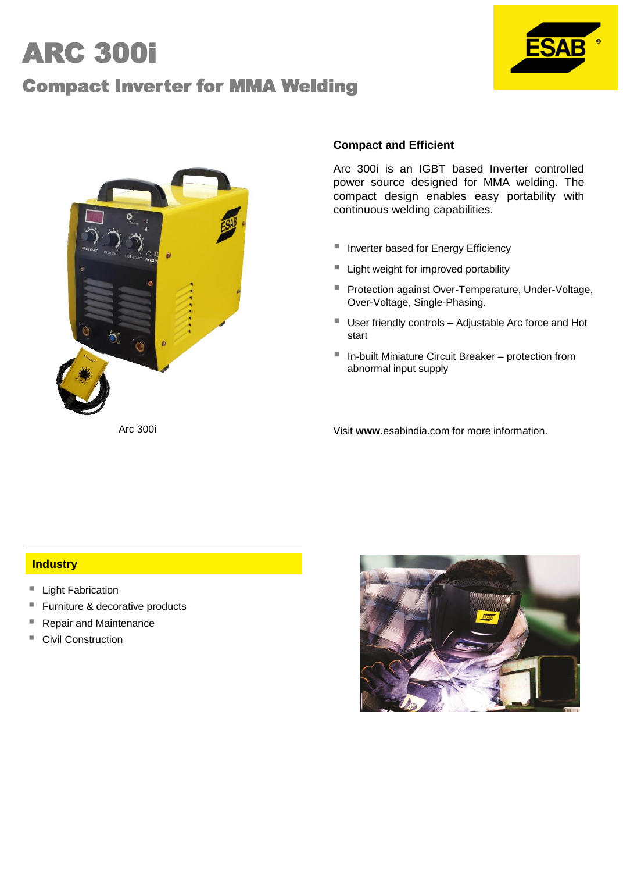# ARC 300i

## Compact Inverter for MMA Welding





#### **Compact and Efficient**

Arc 300i is an IGBT based Inverter controlled power source designed for MMA welding. The compact design enables easy portability with continuous welding capabilities.

- Inverter based for Energy Efficiency
- Light weight for improved portability
- **Protection against Over-Temperature, Under-Voltage,** Over-Voltage, Single-Phasing.
- User friendly controls Adjustable Arc force and Hot start
- In-built Miniature Circuit Breaker protection from abnormal input supply

Arc 300i Visit **www.**esabindia.com for more information.

#### **Industry**

- Light Fabrication
- Furniture & decorative products
- Repair and Maintenance
- Civil Construction